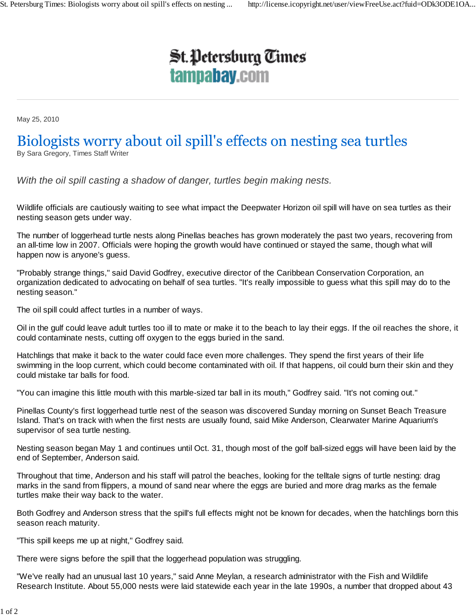## **St. Petersburg Times** tampabay.com

May 25, 2010

## Biologists worry about oil spill's effects on nesting sea turtles By Sara Gregory, Times Staff Writer

*With the oil spill casting a shadow of danger, turtles begin making nests.*

Wildlife officials are cautiously waiting to see what impact the Deepwater Horizon oil spill will have on sea turtles as their nesting season gets under way.

The number of loggerhead turtle nests along Pinellas beaches has grown moderately the past two years, recovering from an all-time low in 2007. Officials were hoping the growth would have continued or stayed the same, though what will happen now is anyone's guess.

"Probably strange things," said David Godfrey, executive director of the Caribbean Conservation Corporation, an organization dedicated to advocating on behalf of sea turtles. "It's really impossible to guess what this spill may do to the nesting season."

The oil spill could affect turtles in a number of ways.

Oil in the gulf could leave adult turtles too ill to mate or make it to the beach to lay their eggs. If the oil reaches the shore, it could contaminate nests, cutting off oxygen to the eggs buried in the sand.

Hatchlings that make it back to the water could face even more challenges. They spend the first years of their life swimming in the loop current, which could become contaminated with oil. If that happens, oil could burn their skin and they could mistake tar balls for food.

"You can imagine this little mouth with this marble-sized tar ball in its mouth," Godfrey said. "It's not coming out."

Pinellas County's first loggerhead turtle nest of the season was discovered Sunday morning on Sunset Beach Treasure Island. That's on track with when the first nests are usually found, said Mike Anderson, Clearwater Marine Aquarium's supervisor of sea turtle nesting.

Nesting season began May 1 and continues until Oct. 31, though most of the golf ball-sized eggs will have been laid by the end of September, Anderson said.

Throughout that time, Anderson and his staff will patrol the beaches, looking for the telltale signs of turtle nesting: drag marks in the sand from flippers, a mound of sand near where the eggs are buried and more drag marks as the female turtles make their way back to the water.

Both Godfrey and Anderson stress that the spill's full effects might not be known for decades, when the hatchlings born this season reach maturity.

"This spill keeps me up at night," Godfrey said.

There were signs before the spill that the loggerhead population was struggling.

"We've really had an unusual last 10 years," said Anne Meylan, a research administrator with the Fish and Wildlife Research Institute. About 55,000 nests were laid statewide each year in the late 1990s, a number that dropped about 43